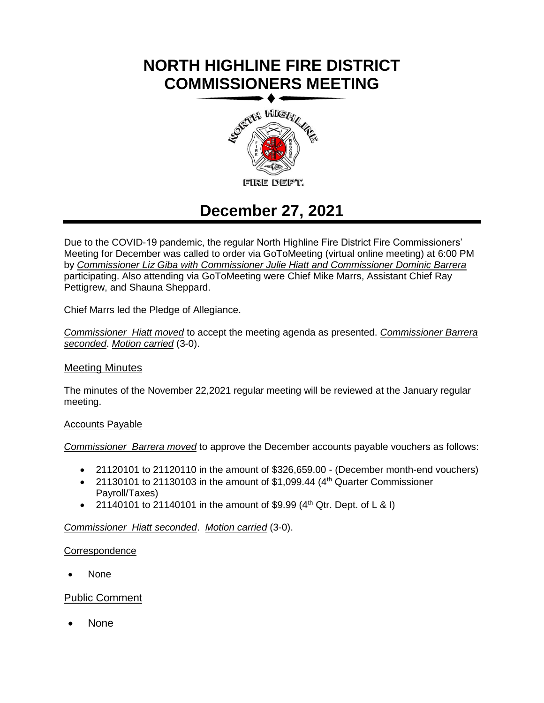# **NORTH HIGHLINE FIRE DISTRICT COMMISSIONERS MEETING**



# **December 27, 2021**

Due to the COVID-19 pandemic, the regular North Highline Fire District Fire Commissioners' Meeting for December was called to order via GoToMeeting (virtual online meeting) at 6:00 PM by *Commissioner Liz Giba with Commissioner Julie Hiatt and Commissioner Dominic Barrera* participating. Also attending via GoToMeeting were Chief Mike Marrs, Assistant Chief Ray Pettigrew, and Shauna Sheppard.

Chief Marrs led the Pledge of Allegiance.

*Commissioner Hiatt moved* to accept the meeting agenda as presented. *Commissioner Barrera seconded*. *Motion carried* (3-0).

#### Meeting Minutes

The minutes of the November 22,2021 regular meeting will be reviewed at the January regular meeting.

#### Accounts Payable

*Commissioner Barrera moved* to approve the December accounts payable vouchers as follows:

- 21120101 to 21120110 in the amount of \$326,659.00 (December month-end vouchers)
- 21130101 to 21130103 in the amount of \$1,099.44  $(4<sup>th</sup>$  Quarter Commissioner Payroll/Taxes)
- 21140101 to 21140101 in the amount of \$9.99  $(4<sup>th</sup> Qtr.$  Dept. of L & I)

#### *Commissioner Hiatt seconded*. *Motion carried* (3-0).

#### **Correspondence**

• None

#### Public Comment

• None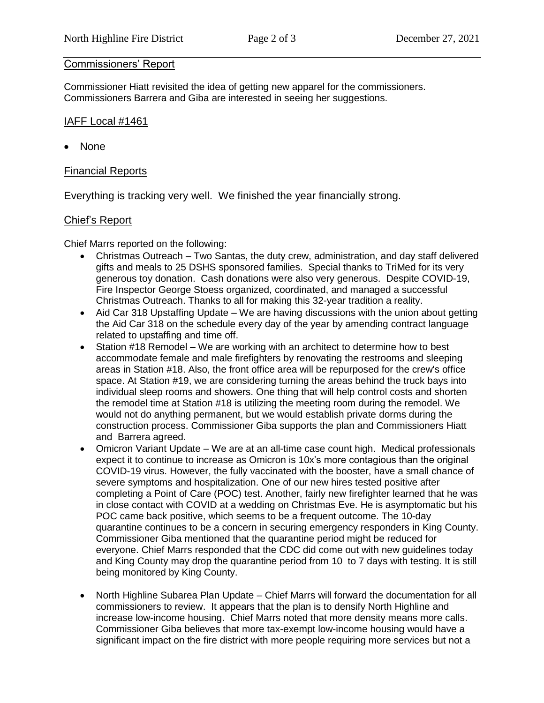# Commissioners' Report

Commissioner Hiatt revisited the idea of getting new apparel for the commissioners. Commissioners Barrera and Giba are interested in seeing her suggestions.

# IAFF Local #1461

• None

# Financial Reports

Everything is tracking very well. We finished the year financially strong.

# Chief's Report

Chief Marrs reported on the following:

- Christmas Outreach Two Santas, the duty crew, administration, and day staff delivered gifts and meals to 25 DSHS sponsored families. Special thanks to TriMed for its very generous toy donation. Cash donations were also very generous. Despite COVID-19, Fire Inspector George Stoess organized, coordinated, and managed a successful Christmas Outreach. Thanks to all for making this 32-year tradition a reality.
- Aid Car 318 Upstaffing Update We are having discussions with the union about getting the Aid Car 318 on the schedule every day of the year by amending contract language related to upstaffing and time off.
- accommodate female and male firefighters by renovating the restrooms and sleeping • Station #18 Remodel – We are working with an architect to determine how to best areas in Station #18. Also, the front office area will be repurposed for the crew's office space. At Station #19, we are considering turning the areas behind the truck bays into individual sleep rooms and showers. One thing that will help control costs and shorten the remodel time at Station #18 is utilizing the meeting room during the remodel. We would not do anything permanent, but we would establish private dorms during the construction process. Commissioner Giba supports the plan and Commissioners Hiatt and Barrera agreed.
- Omicron Variant Update We are at an all-time case count high. Medical professionals expect it to continue to increase as Omicron is 10x's more contagious than the original COVID-19 virus. However, the fully vaccinated with the booster, have a small chance of severe symptoms and hospitalization. One of our new hires tested positive after completing a Point of Care (POC) test. Another, fairly new firefighter learned that he was in close contact with COVID at a wedding on Christmas Eve. He is asymptomatic but his POC came back positive, which seems to be a frequent outcome. The 10-day quarantine continues to be a concern in securing emergency responders in King County. Commissioner Giba mentioned that the quarantine period might be reduced for everyone. Chief Marrs responded that the CDC did come out with new guidelines today and King County may drop the quarantine period from 10 to 7 days with testing. It is still being monitored by King County.
- North Highline Subarea Plan Update Chief Marrs will forward the documentation for all commissioners to review. It appears that the plan is to densify North Highline and increase low-income housing. Chief Marrs noted that more density means more calls. Commissioner Giba believes that more tax-exempt low-income housing would have a significant impact on the fire district with more people requiring more services but not a